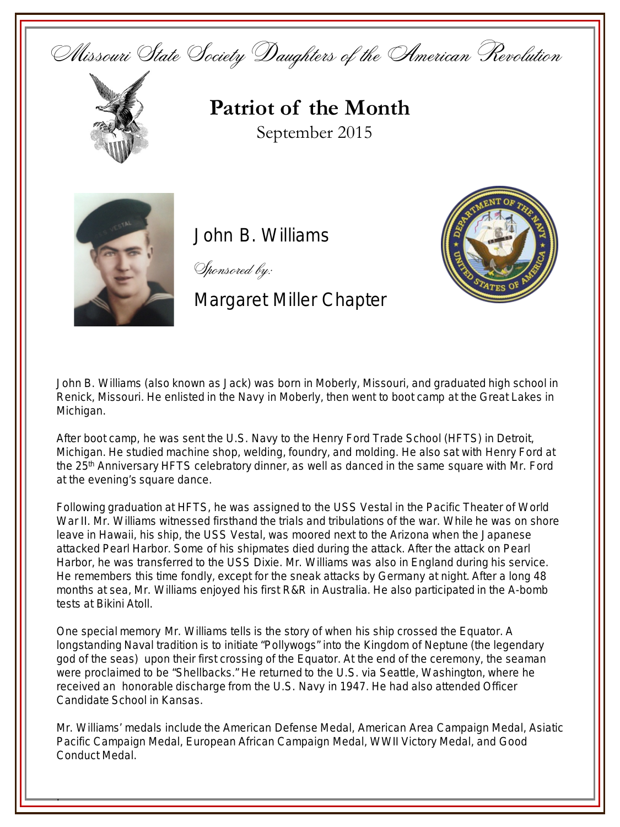Missouri State Society Daughters of the American Revolution



## **Patriot of the Month** September 2015



.

John B. Williams

Sponsored by:

## Margaret Miller Chapter



John B. Williams (also known as Jack) was born in Moberly, Missouri, and graduated high school in Renick, Missouri. He enlisted in the Navy in Moberly, then went to boot camp at the Great Lakes in Michigan.

After boot camp, he was sent the U.S. Navy to the Henry Ford Trade School (HFTS) in Detroit, Michigan. He studied machine shop, welding, foundry, and molding. He also sat with Henry Ford at the 25th Anniversary HFTS celebratory dinner, as well as danced in the same square with Mr. Ford at the evening's square dance.

Following graduation at HFTS, he was assigned to the USS Vestal in the Pacific Theater of World War II. Mr. Williams witnessed firsthand the trials and tribulations of the war. While he was on shore leave in Hawaii, his ship, the USS Vestal, was moored next to the Arizona when the Japanese attacked Pearl Harbor. Some of his shipmates died during the attack. After the attack on Pearl Harbor, he was transferred to the USS Dixie. Mr. Williams was also in England during his service. He remembers this time fondly, except for the sneak attacks by Germany at night. After a long 48 months at sea, Mr. Williams enjoyed his first R&R in Australia. He also participated in the A-bomb tests at Bikini Atoll.

One special memory Mr. Williams tells is the story of when his ship crossed the Equator. A longstanding Naval tradition is to initiate "Pollywogs" into the Kingdom of Neptune (the legendary god of the seas) upon their first crossing of the Equator. At the end of the ceremony, the seaman were proclaimed to be "Shellbacks." He returned to the U.S. via Seattle, Washington, where he received an honorable discharge from the U.S. Navy in 1947. He had also attended Officer Candidate School in Kansas.

Mr. Williams' medals include the American Defense Medal, American Area Campaign Medal, Asiatic Pacific Campaign Medal, European African Campaign Medal, WWII Victory Medal, and Good Conduct Medal.